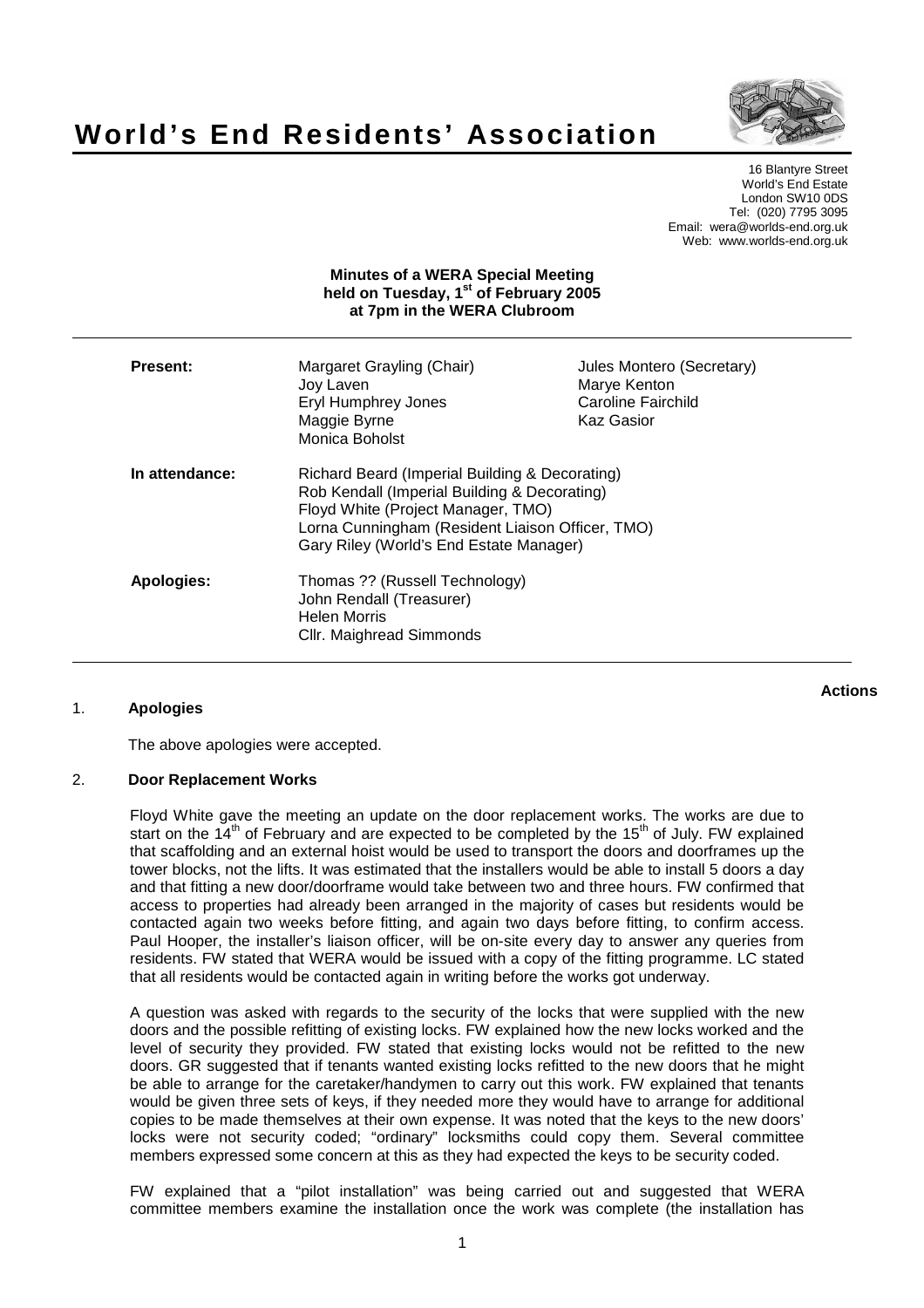

# **World's End Residents' Association**

16 Blantyre Street World's End Estate London SW10 0DS Tel: (020) 7795 3095 Email: wera@worlds-end.org.uk Web: www.worlds-end.org.uk

### **Minutes of a WERA Special Meeting held on Tuesday, 1 st of February 2005 at 7pm in the WERA Clubroom**

| Present:       | Margaret Grayling (Chair)<br>Joy Laven<br>Eryl Humphrey Jones<br>Maggie Byrne<br>Monica Boholst                                                                                                                                     | Jules Montero (Secretary)<br>Marye Kenton<br>Caroline Fairchild<br>Kaz Gasior |
|----------------|-------------------------------------------------------------------------------------------------------------------------------------------------------------------------------------------------------------------------------------|-------------------------------------------------------------------------------|
| In attendance: | Richard Beard (Imperial Building & Decorating)<br>Rob Kendall (Imperial Building & Decorating)<br>Floyd White (Project Manager, TMO)<br>Lorna Cunningham (Resident Liaison Officer, TMO)<br>Gary Riley (World's End Estate Manager) |                                                                               |
| Apologies:     | Thomas ?? (Russell Technology)<br>John Rendall (Treasurer)<br><b>Helen Morris</b><br>Cllr. Maighread Simmonds                                                                                                                       |                                                                               |

## 1. **Apologies**

**Actions**

The above apologies were accepted.

#### 2. **Door Replacement Works**

Floyd White gave the meeting an update on the door replacement works. The works are due to start on the 14<sup>th</sup> of February and are expected to be completed by the 15<sup>th</sup> of July. FW explained that scaffolding and an external hoist would be used to transport the doors and doorframes up the tower blocks, not the lifts. It was estimated that the installers would be able to install 5 doors a day and that fitting a new door/doorframe would take between two and three hours. FW confirmed that access to properties had already been arranged in the majority of cases but residents would be contacted again two weeks before fitting, and again two days before fitting, to confirm access. Paul Hooper, the installer's liaison officer, will be on-site every day to answer any queries from residents. FW stated that WERA would be issued with a copy of the fitting programme. LC stated that all residents would be contacted again in writing before the works got underway.

A question was asked with regards to the security of the locks that were supplied with the new doors and the possible refitting of existing locks. FW explained how the new locks worked and the level of security they provided. FW stated that existing locks would not be refitted to the new doors. GR suggested that if tenants wanted existing locks refitted to the new doors that he might be able to arrange for the caretaker/handymen to carry out this work. FW explained that tenants would be given three sets of keys, if they needed more they would have to arrange for additional copies to be made themselves at their own expense. It was noted that the keys to the new doors' locks were not security coded; "ordinary" locksmiths could copy them. Several committee members expressed some concern at this as they had expected the keys to be security coded.

FW explained that a "pilot installation" was being carried out and suggested that WERA committee members examine the installation once the work was complete (the installation has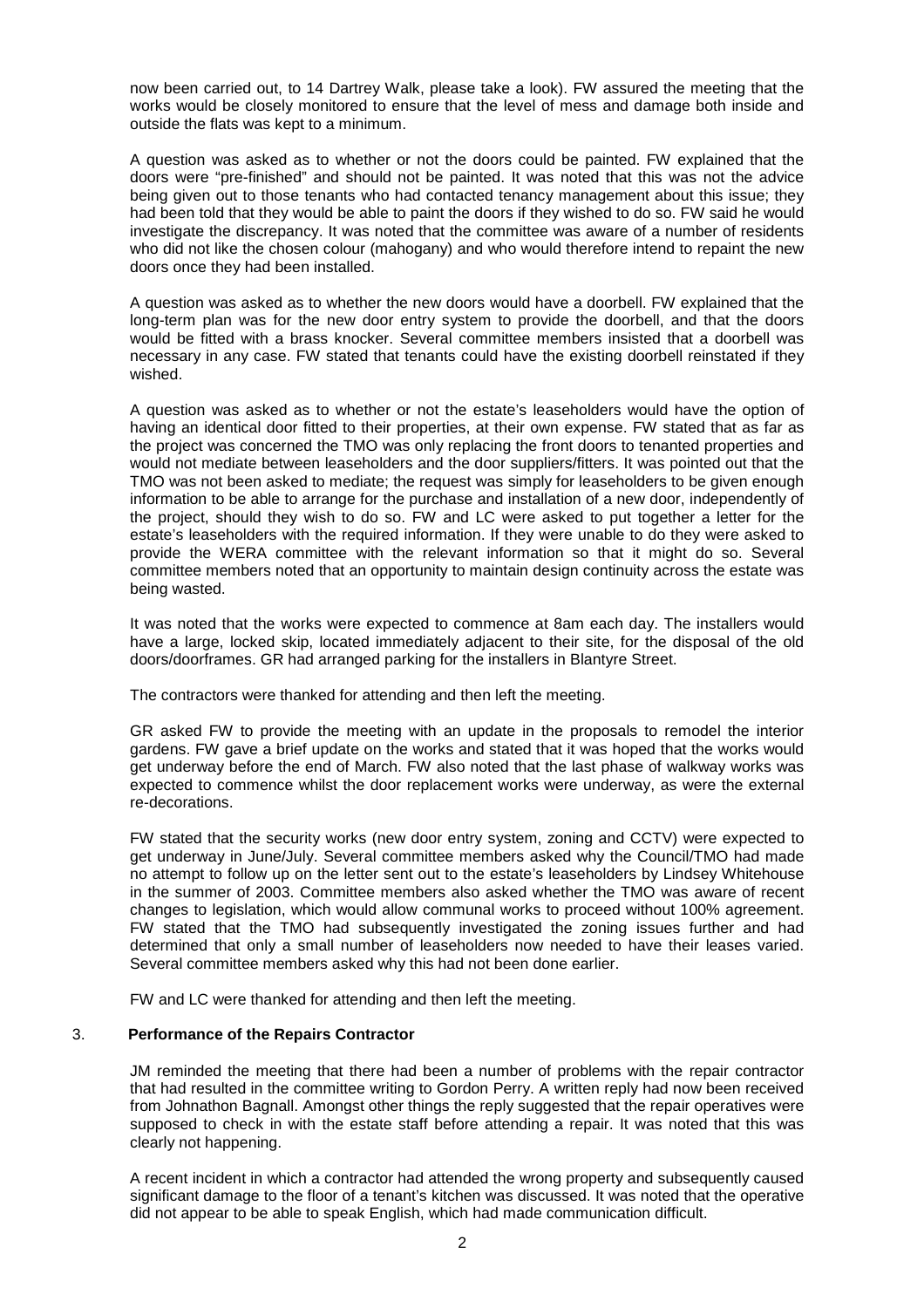now been carried out, to 14 Dartrey Walk, please take a look). FW assured the meeting that the works would be closely monitored to ensure that the level of mess and damage both inside and outside the flats was kept to a minimum.

A question was asked as to whether or not the doors could be painted. FW explained that the doors were "pre-finished" and should not be painted. It was noted that this was not the advice being given out to those tenants who had contacted tenancy management about this issue; they had been told that they would be able to paint the doors if they wished to do so. FW said he would investigate the discrepancy. It was noted that the committee was aware of a number of residents who did not like the chosen colour (mahogany) and who would therefore intend to repaint the new doors once they had been installed.

A question was asked as to whether the new doors would have a doorbell. FW explained that the long-term plan was for the new door entry system to provide the doorbell, and that the doors would be fitted with a brass knocker. Several committee members insisted that a doorbell was necessary in any case. FW stated that tenants could have the existing doorbell reinstated if they wished.

A question was asked as to whether or not the estate's leaseholders would have the option of having an identical door fitted to their properties, at their own expense. FW stated that as far as the project was concerned the TMO was only replacing the front doors to tenanted properties and would not mediate between leaseholders and the door suppliers/fitters. It was pointed out that the TMO was not been asked to mediate; the request was simply for leaseholders to be given enough information to be able to arrange for the purchase and installation of a new door, independently of the project, should they wish to do so. FW and LC were asked to put together a letter for the estate's leaseholders with the required information. If they were unable to do they were asked to provide the WERA committee with the relevant information so that it might do so. Several committee members noted that an opportunity to maintain design continuity across the estate was being wasted.

It was noted that the works were expected to commence at 8am each day. The installers would have a large, locked skip, located immediately adjacent to their site, for the disposal of the old doors/doorframes. GR had arranged parking for the installers in Blantyre Street.

The contractors were thanked for attending and then left the meeting.

GR asked FW to provide the meeting with an update in the proposals to remodel the interior gardens. FW gave a brief update on the works and stated that it was hoped that the works would get underway before the end of March. FW also noted that the last phase of walkway works was expected to commence whilst the door replacement works were underway, as were the external re-decorations.

FW stated that the security works (new door entry system, zoning and CCTV) were expected to get underway in June/July. Several committee members asked why the Council/TMO had made no attempt to follow up on the letter sent out to the estate's leaseholders by Lindsey Whitehouse in the summer of 2003. Committee members also asked whether the TMO was aware of recent changes to legislation, which would allow communal works to proceed without 100% agreement. FW stated that the TMO had subsequently investigated the zoning issues further and had determined that only a small number of leaseholders now needed to have their leases varied. Several committee members asked why this had not been done earlier.

FW and LC were thanked for attending and then left the meeting.

#### 3. **Performance of the Repairs Contractor**

JM reminded the meeting that there had been a number of problems with the repair contractor that had resulted in the committee writing to Gordon Perry. A written reply had now been received from Johnathon Bagnall. Amongst other things the reply suggested that the repair operatives were supposed to check in with the estate staff before attending a repair. It was noted that this was clearly not happening.

A recent incident in which a contractor had attended the wrong property and subsequently caused significant damage to the floor of a tenant's kitchen was discussed. It was noted that the operative did not appear to be able to speak English, which had made communication difficult.